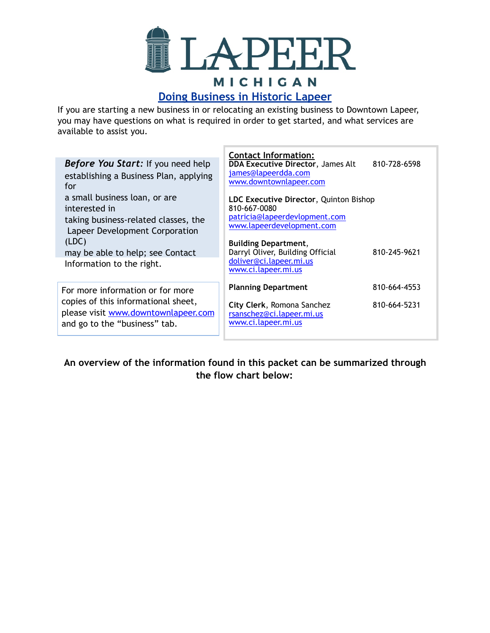

# **Doing Business in Historic Lapeer**

If you are starting a new business in or relocating an existing business to Downtown Lapeer, you may have questions on what is required in order to get started, and what services are available to assist you.

| <b>Before You Start:</b> If you need help<br>establishing a Business Plan, applying<br>for<br>a small business loan, or are                                       | <b>Contact Information:</b><br><b>DDA Executive Director, James Alt</b><br>810-728-6598<br>james@lapeerdda.com<br>www.downtownlapeer.com<br>LDC Executive Director, Quinton Bishop                              |
|-------------------------------------------------------------------------------------------------------------------------------------------------------------------|-----------------------------------------------------------------------------------------------------------------------------------------------------------------------------------------------------------------|
| interested in<br>taking business-related classes, the<br>Lapeer Development Corporation<br>(LDC)<br>may be able to help; see Contact<br>Information to the right. | 810-667-0080<br>patricia@lapeerdevlopment.com<br>www.lapeerdevelopment.com<br><b>Building Department,</b><br>Darryl Oliver, Building Official<br>810-245-9621<br>doliver@ci.lapeer.mi.us<br>www.ci.lapeer.mi.us |
| For more information or for more<br>copies of this informational sheet,<br>please visit www.downtownlapeer.com<br>and go to the "business" tab.                   | 810-664-4553<br><b>Planning Department</b><br>810-664-5231<br>City Clerk, Romona Sanchez<br>rsanschez@ci.lapeer.mi.us<br>www.ci.lapeer.mi.us                                                                    |

**An overview of the information found in this packet can be summarized through the flow chart below:**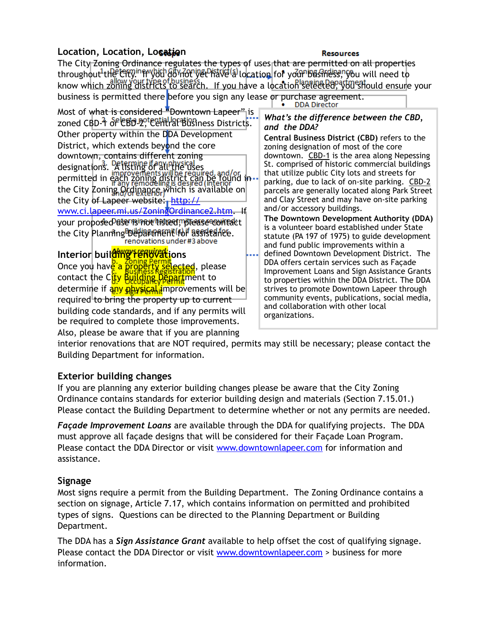## **Location, Location, Location**

#### **Resources**

The City Zoning Ordinance regulates the types of uses that are permitted on all properties throughout the City. If you do not yet have a location for your business, you will need to know which zoning districts to search. If you have a location selected, you should ensure your business is permitted there before you sign any lease or purchase agreement.

Most of what is considered "Downtown Lapeer" is zoned CBD-1 of CBD-2, Central Business Districts. Other property within the DDA Development District, which extends beyond the core downtown, contains different zoning designations. A listing of all the uses permitted in each zoning district can be found in the City Zoning Ordinance which is available on the City of Lapeer website: [http://](http://www.ci.lapeer.mi.us/ZoningOrdinance2.htm) [www.ci.lapeer.mi.us/ZoningOrdinance2.htm.](http://www.ci.lapeer.mi.us/ZoningOrdinance2.htm) If your proposed ase nonput his need in the assessment to your proposed user the City Planning <del>DUC 18 Chara and City</del> Planning Ducks and the City Planning Burne in a stream the City Plann<br>Fenovations under #3 above **Interior building Fenovations** Once you have a property selected, please contact the City  $\frac{\text{Buglings}}{\text{Hung}}$  Department to determine if any physical improvements will be required to bring the property up to current building code standards, and if any permits will be required to complete those improvements. Also, please be aware that if you are planning *What's the difference between the CBD, and the DDA?* **Central Business District (CBD)** refers to the zoning designation of most of the core downtown. CBD-1 is the area along Nepessing St. comprised of historic commercial buildings that utilize public City lots and streets for parking, due to lack of on-site parking. CBD-2 parcels are generally located along Park Street and Clay Street and may have on-site parking and/or accessory buildings. **The Downtown Development Authority (DDA)**  is a volunteer board established under State statute (PA 197 of 1975) to guide development and fund public improvements within a defined Downtown Development District.The DDA offers certain services such as Façade Improvement Loans and Sign Assistance Grants to properties within the DDA District. The DDA strives to promote Downtown Lapeer through community events, publications, social media, and collaboration with other local organizations.

interior renovations that are NOT required, permits may still be necessary; please contact the Building Department for information.

### **Exterior building changes**

If you are planning any exterior building changes please be aware that the City Zoning Ordinance contains standards for exterior building design and materials (Section 7.15.01.) Please contact the Building Department to determine whether or not any permits are needed.

*Façade Improvement Loans* are available through the DDA for qualifying projects. The DDA must approve all façade designs that will be considered for their Façade Loan Program. Please contact the DDA Director or visit [www.downtownlapeer.com](http://www.downtownlapeer.com) for information and assistance.

### **Signage**

Most signs require a permit from the Building Department. The Zoning Ordinance contains a section on signage, Article 7.17, which contains information on permitted and prohibited types of signs. Questions can be directed to the Planning Department or Building Department.

The DDA has a *Sign Assistance Grant* available to help offset the cost of qualifying signage. Please contact the DDA Director or visit [www.downtownlapeer.com](http://www.downtownlapeer.com) > business for more information.